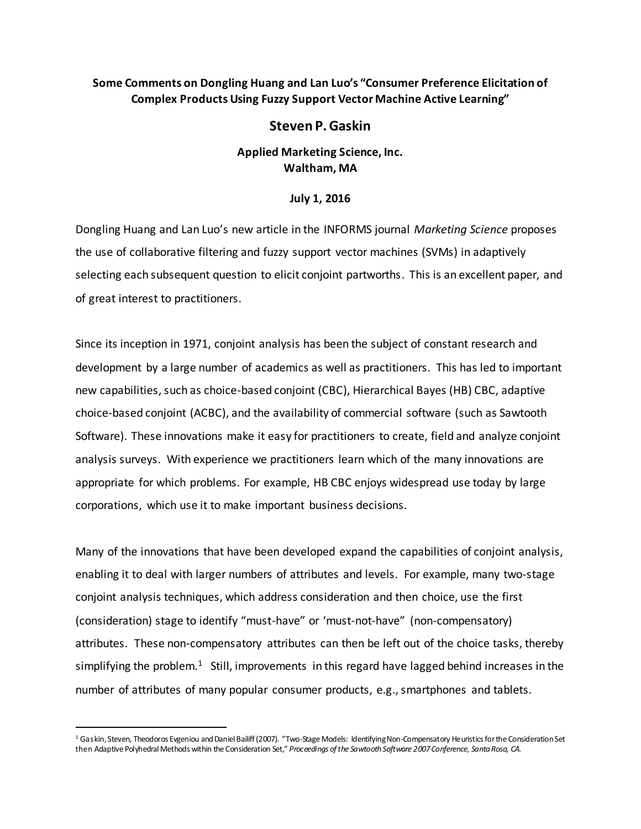## **Some Comments on Dongling Huang and Lan Luo's "Consumer Preference Elicitation of Complex Products Using Fuzzy Support Vector Machine Active Learning"**

## **Steven P. Gaskin**

## **Applied Marketing Science, Inc. Waltham, MA**

## **July 1, 2016**

Dongling Huang and Lan Luo's new article in the INFORMS journal *Marketing Science* proposes the use of collaborative filtering and fuzzy support vector machines (SVMs) in adaptively selecting each subsequent question to elicit conjoint partworths. This is an excellent paper, and of great interest to practitioners.

Since its inception in 1971, conjoint analysis has been the subject of constant research and development by a large number of academics as well as practitioners. This has led to important new capabilities, such as choice-based conjoint (CBC), Hierarchical Bayes (HB) CBC, adaptive choice-based conjoint (ACBC), and the availability of commercial software (such as Sawtooth Software). These innovations make it easy for practitioners to create, field and analyze conjoint analysis surveys. With experience we practitioners learn which of the many innovations are appropriate for which problems. For example, HB CBC enjoys widespread use today by large corporations, which use it to make important business decisions.

Many of the innovations that have been developed expand the capabilities of conjoint analysis, enabling it to deal with larger numbers of attributes and levels. For example, many two-stage conjoint analysis techniques, which address consideration and then choice, use the first (consideration) stage to identify "must-have" or 'must-not-have" (non-compensatory) attributes. These non-compensatory attributes can then be left out of the choice tasks, thereby simplifying the problem.<sup>1</sup> Still, improvements in this regard have lagged behind increases in the number of attributes of many popular consumer products, e.g., smartphones and tablets.

 $\ddot{\phantom{a}}$ 

<sup>1</sup> Gaskin, Steven, Theodoros Evgeniou and Daniel Bailiff (2007). "Two-Stage Models: Identifying Non-Compensatory Heuristics for the Consideration Set then Adaptive Polyhedral Methods within the Consideration Set," *Proceedings of the Sawtooth Software 2007 Conference, Santa Rosa, CA.*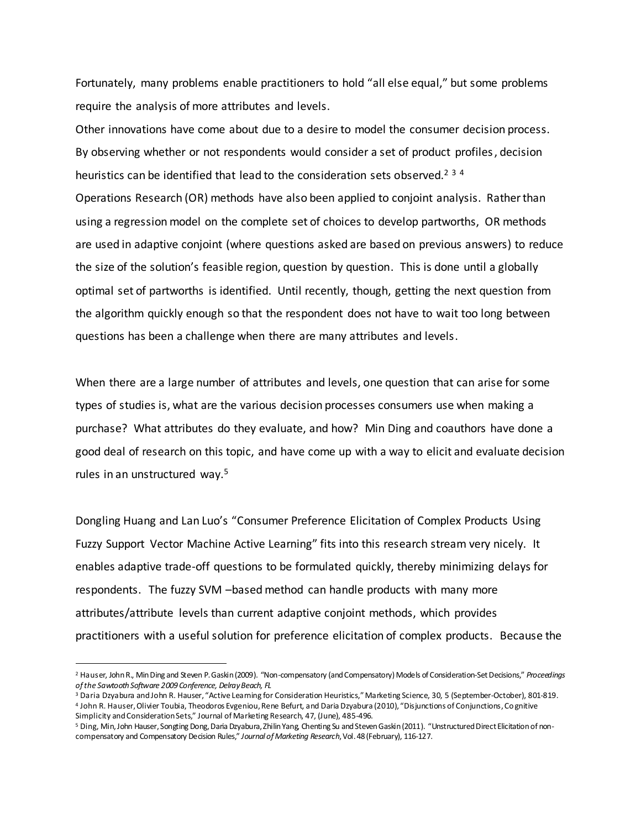Fortunately, many problems enable practitioners to hold "all else equal," but some problems require the analysis of more attributes and levels.

Other innovations have come about due to a desire to model the consumer decision process. By observing whether or not respondents would consider a set of product profiles, decision heuristics can be identified that lead to the consideration sets observed.<sup>2 3 4</sup> Operations Research (OR) methods have also been applied to conjoint analysis. Rather than using a regression model on the complete set of choices to develop partworths, OR methods are used in adaptive conjoint (where questions asked are based on previous answers) to reduce the size of the solution's feasible region, question by question. This is done until a globally optimal set of partworths is identified. Until recently, though, getting the next question from the algorithm quickly enough so that the respondent does not have to wait too long between questions has been a challenge when there are many attributes and levels.

When there are a large number of attributes and levels, one question that can arise for some types of studies is, what are the various decision processes consumers use when making a purchase? What attributes do they evaluate, and how? Min Ding and coauthors have done a good deal of research on this topic, and have come up with a way to elicit and evaluate decision rules in an unstructured way.<sup>5</sup>

Dongling Huang and Lan Luo's "Consumer Preference Elicitation of Complex Products Using Fuzzy Support Vector Machine Active Learning" fits into this research stream very nicely. It enables adaptive trade-off questions to be formulated quickly, thereby minimizing delays for respondents. The fuzzy SVM –based method can handle products with many more attributes/attribute levels than current adaptive conjoint methods, which provides practitioners with a useful solution for preference elicitation of complex products. Because the

 $\ddot{\phantom{a}}$ 

<sup>2</sup> Hauser, John R., Min Ding and Steven P. Gaskin (2009). "Non-compensatory (and Compensatory) Models of Consideration-Set Decisions," *Proceedings of the Sawtooth Software 2009 Conference, Delray Beach, FL*

<sup>3</sup> Daria Dzyabura and John R. Hauser, "Active Learning for Consideration Heuristics," Marketing Science, 30, 5 (September-October), 801-819. 4 John R. Hauser, Olivier Toubia, Theodoros Evgeniou, Rene Befurt, and Daria Dzyabura (2010), "Disjunctions of Conjunctions, Cognitive

Simplicity and Consideration Sets," Journal of Marketing Research, 47, (June), 485-496.

<sup>5</sup> Ding, Min, John Hauser, Songting Dong, Daria Dzyabura, Zhilin Yang, Chenting Su and Steven Gaskin (2011). "Unstructured Direct Elicitation of noncompensatory and Compensatory Decision Rules," *Journal of Marketing Research*, Vol. 48 (February), 116-127.